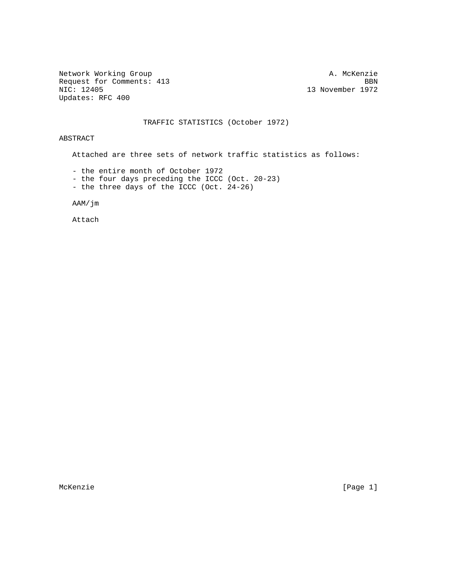Network Working Group and A. McKenzie Request for Comments: 413 BBN<br>NIC: 12405 BBN Updates: RFC 400

13 November 1972

#### TRAFFIC STATISTICS (October 1972)

ABSTRACT

Attached are three sets of network traffic statistics as follows:

- the entire month of October 1972

- the four days preceding the ICCC (Oct. 20-23)
- the three days of the ICCC (Oct. 24-26)

AAM/jm

Attach

McKenzie [Page 1]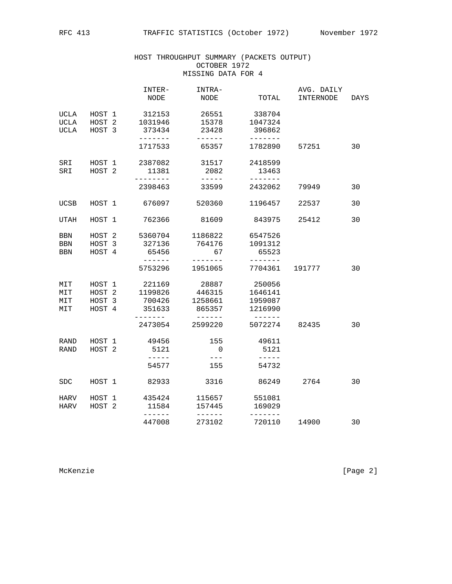### HOST THROUGHPUT SUMMARY (PACKETS OUTPUT) OCTOBER 1972 MISSING DATA FOR 4

|                                           |                                                 | INTER-<br>NODE                                | INTRA-<br>NODE                       | TOTAL                                   | AVG. DAILY<br>INTERNODE | DAYS |
|-------------------------------------------|-------------------------------------------------|-----------------------------------------------|--------------------------------------|-----------------------------------------|-------------------------|------|
| <b>UCLA</b><br><b>UCLA</b><br><b>UCLA</b> | HOST 1<br>HOST <sub>2</sub><br>HOST 3           | 312153<br>1031946<br>373434                   | 26551<br>15378<br>23428              | 338704<br>1047324<br>396862             |                         |      |
|                                           |                                                 | -------<br>1717533                            | ------<br>65357                      | -------<br>1782890                      | 57251                   | 30   |
| SRI<br>SRI                                | HOST 1<br>HOST <sub>2</sub>                     | 2387082<br>11381<br>-------                   | 31517<br>2082                        | 2418599<br>13463                        |                         |      |
|                                           |                                                 | 2398463                                       | $- - - - - -$<br>33599               | -------<br>2432062                      | 79949                   | 30   |
| UCSB                                      | HOST 1                                          | 676097                                        | 520360                               | 1196457                                 | 22537                   | 30   |
| UTAH                                      | HOST 1                                          | 762366                                        | 81609                                | 843975                                  | 25412                   | 30   |
| BBN<br>BBN<br><b>BBN</b>                  | HOST <sub>2</sub><br>HOST 3<br>HOST 4           | 5360704<br>327136<br>65456<br>$- - - - - - -$ | 1186822<br>764176<br>67<br>-------   | 6547526<br>1091312<br>65523             |                         |      |
|                                           |                                                 | 5753296                                       | 1951065                              | 7704361                                 | 191777                  | 30   |
| MIT<br>MIT<br>MIT<br>MIT                  | HOST 1<br>HOST <sub>2</sub><br>HOST 3<br>HOST 4 | 221169<br>1199826<br>700426<br>351633         | 28887<br>446315<br>1258661<br>865357 | 250056<br>1646141<br>1959087<br>1216990 |                         |      |
|                                           |                                                 | 2473054                                       | 2599220                              | 5072274                                 | 82435                   | 30   |
| <b>RAND</b><br>RAND                       | HOST 1<br>HOST <sub>2</sub>                     | 49456<br>5121                                 | 155<br>$\Omega$                      | 49611<br>5121                           |                         |      |
|                                           |                                                 | $- - - - - -$<br>54577                        | $---$<br>155                         | $- - - - - -$<br>54732                  |                         |      |
| <b>SDC</b>                                | HOST 1                                          | 82933                                         | 3316                                 | 86249                                   | 2764                    | 30   |
| HARV<br>HARV                              | HOST 1<br>HOST 2                                | 435424<br>11584                               | 115657<br>157445                     | 551081<br>169029                        |                         |      |
|                                           |                                                 | $- - - - - - -$<br>447008                     | ------<br>273102                     | -------<br>720110                       | 14900                   | 30   |

McKenzie [Page 2]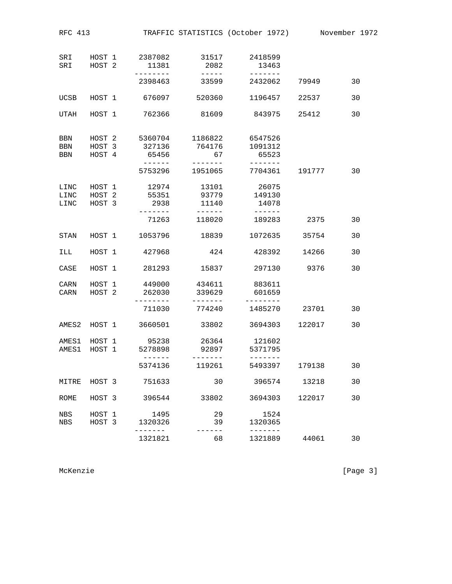| RFC 413                  |                                       |                                   |                                            | TRAFFIC STATISTICS (October 1972) November 1972 |        |    |
|--------------------------|---------------------------------------|-----------------------------------|--------------------------------------------|-------------------------------------------------|--------|----|
| SRI<br>SRI               | HOST 1<br>HOST <sub>2</sub>           | 2387082<br>11381<br>.             | 31517<br>2082                              | 2418599<br>13463                                |        |    |
|                          |                                       | 2398463                           | $- - - - - -$<br>33599                     | -------<br>2432062                              | 79949  | 30 |
| UCSB                     | HOST 1                                | 676097                            | 520360                                     | 1196457                                         | 22537  | 30 |
| UTAH                     | HOST 1                                | 762366                            | 81609                                      | 843975                                          | 25412  | 30 |
| BBN<br><b>BBN</b><br>BBN | HOST 2<br>HOST 3<br>HOST 4            | 5360704<br>327136<br>65456        | 1186822<br>764176<br>67<br>. <i>.</i> .    | 6547526<br>1091312<br>65523                     |        |    |
|                          |                                       | 5753296                           | 1951065                                    | 7704361                                         | 191777 | 30 |
| LINC<br>LINC<br>LINC     | HOST 1<br>HOST <sub>2</sub><br>HOST 3 | 12974<br>55351<br>2938<br>------- | 13101<br>93779<br>11140<br>$- - - - - - -$ | 26075<br>149130<br>14078<br>$- - - - - -$       |        |    |
|                          |                                       | 71263                             | 118020                                     | 189283                                          | 2375   | 30 |
| STAN                     | HOST 1                                | 1053796                           | 18839                                      | 1072635                                         | 35754  | 30 |
| ILL                      | HOST 1                                | 427968                            | 424                                        | 428392                                          | 14266  | 30 |
| CASE                     | HOST 1                                | 281293                            | 15837                                      | 297130                                          | 9376   | 30 |
| CARN<br>CARN             | HOST 1<br>HOST <sub>2</sub>           | 449000<br>262030<br>-------       | 434611<br>339629<br>-------                | 883611<br>601659<br>--------                    |        |    |
|                          |                                       | 711030                            | 774240                                     | 1485270                                         | 23701  | 30 |
| AMES2                    | HOST 1                                | 3660501                           | 33802                                      | 3694303                                         | 122017 | 30 |
| AMES1<br>AMES1           | HOST 1<br>HOST 1                      | 95238<br>5278898                  | 26364<br>92897                             | 121602<br>5371795                               |        |    |
|                          |                                       | 5374136                           | 119261                                     | 5493397                                         | 179138 | 30 |
| MITRE                    | HOST 3                                | 751633                            | 30                                         | 396574                                          | 13218  | 30 |
| ROME                     | HOST 3                                | 396544                            | 33802                                      | 3694303                                         | 122017 | 30 |
| NBS<br>NBS               | HOST 1<br>HOST 3                      | 1495<br>1320326<br>$- - - -$      | 29<br>39                                   | 1524<br>1320365                                 |        |    |
|                          |                                       | 1321821                           | 68                                         | 1321889                                         | 44061  | 30 |

McKenzie [Page 3]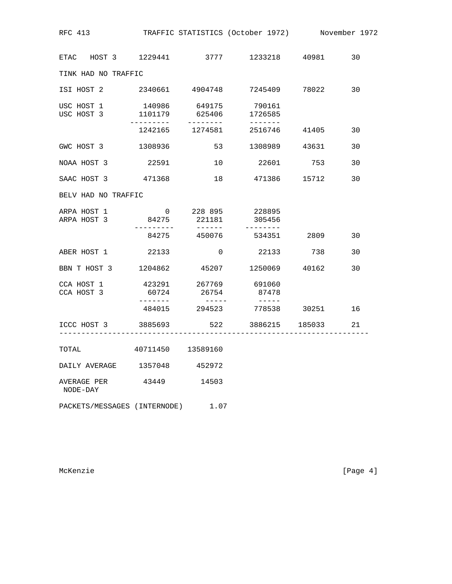| RFC 413 TRAFFIC STATISTICS (October 1972) November 1972              |                     |                    |                                                    |    |
|----------------------------------------------------------------------|---------------------|--------------------|----------------------------------------------------|----|
| ETAC HOST 3 1229441 3777 1233218 40981 30                            |                     |                    |                                                    |    |
| TINK HAD NO TRAFFIC                                                  |                     |                    |                                                    |    |
| ISI HOST 2   2340661   4904748   7245409   78022   30                |                     |                    |                                                    |    |
| USC HOST 1 140986 649175 790161<br>USC HOST 3 1101179 625406 1726585 |                     |                    |                                                    |    |
|                                                                      |                     |                    | $- - - - - - - -$<br>1242165 1274581 2516746 41405 | 30 |
| GWC HOST 3 1308936                                                   |                     |                    | 53 1308989 43631                                   | 30 |
| NOAA HOST 3                                                          | 22591               |                    | 10 22601 753                                       | 30 |
| SAAC HOST 3 471368                                                   |                     |                    | 18 471386 15712                                    | 30 |
| BELV HAD NO TRAFFIC                                                  |                     |                    |                                                    |    |
| ARPA HOST 1 0 228 895 228895<br>ARPA HOST 3 84275 221181 305456      |                     |                    |                                                    |    |
|                                                                      | ----------<br>84275 | --------<br>450076 | ---------<br>534351 2809                           | 30 |
| ABER HOST 1 22133                                                    |                     | $\overline{0}$     | 22133 738                                          | 30 |
| BBN T HOST 3 1204862 45207 1250069 40162                             |                     |                    |                                                    | 30 |
| CCA HOST 1<br>CCA HOST 3                                             | 60724               | 26754              | 423291 267769 691060<br>87478                      |    |
|                                                                      | --------            |                    | 484015 294523 778538 30251                         | 16 |
| ICCC HOST 3 3885693 522 3886215 185033                               |                     |                    |                                                    | 21 |
| TOTAL                                                                | 40711450 13589160   |                    |                                                    |    |
| DAILY AVERAGE                                                        | 1357048             | 452972             |                                                    |    |
| AVERAGE PER<br>NODE-DAY                                              | 43449               | 14503              |                                                    |    |
| PACKETS/MESSAGES (INTERNODE)                                         |                     | 1.07               |                                                    |    |

McKenzie [Page 4]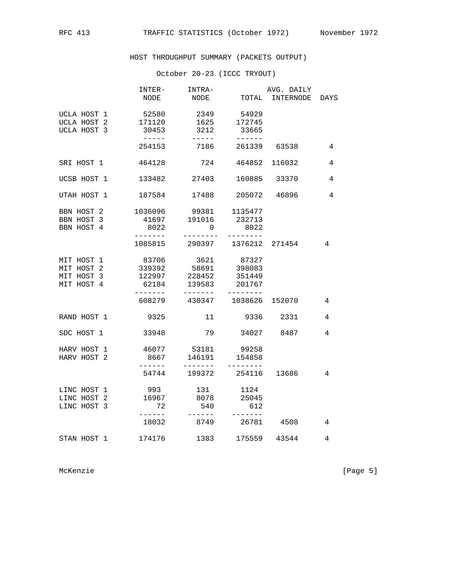HOST THROUGHPUT SUMMARY (PACKETS OUTPUT)

## October 20-23 (ICCC TRYOUT)

|                    | INTER-<br>NODE    | INTRA-<br>NODE                |                   | AVG. DAILY<br>TOTAL INTERNODE | DAYS |
|--------------------|-------------------|-------------------------------|-------------------|-------------------------------|------|
|                    |                   |                               |                   |                               |      |
| UCLA HOST 1        | 52580             | 2349                          | 54929             |                               |      |
| UCLA HOST 2 171120 |                   | 1625 172745                   |                   |                               |      |
| UCLA HOST 3        | 30453             | 3212                          | 33665             |                               |      |
|                    | $- - - - - -$     | $- - - - -$                   | ------            |                               |      |
|                    | 254153            | 7186                          |                   | 261339 63538                  | 4    |
|                    |                   |                               |                   |                               |      |
| SRI HOST 1         | 464128            | 724                           |                   | 464852 116032                 | 4    |
| UCSB HOST 1        | 133482            | 27403                         |                   | 160885 33370                  | 4    |
|                    |                   |                               |                   |                               |      |
| UTAH HOST 1        | 187584            | 17488                         |                   | 205072 46896                  | 4    |
| BBN HOST 2         |                   | 1036096 99381 1135477         |                   |                               |      |
| BBN HOST 3         | 41697             | 191016                        | 232713            |                               |      |
| BBN HOST 4         | 8022              | 0                             | 8022              |                               |      |
|                    | $- - - - - - - -$ |                               | $- - - - - - - -$ |                               |      |
|                    |                   | 1085815 290397 1376212 271454 |                   |                               | 4    |
| MIT HOST 1         | 83706             | 3621 87327                    |                   |                               |      |
| MIT HOST 2         | 339392            | 58691                         | 398083            |                               |      |
| MIT HOST 3         | 122997            | 228452                        | 351449            |                               |      |
| MIT HOST 4         | 62184             | 139583                        | 201767            |                               |      |
|                    | $- - - - - - -$   | --------                      |                   |                               |      |
|                    |                   | 608279 430347 1038626 152070  |                   |                               | 4    |
| RAND HOST 1        | 9325              | 11                            | 9336              | 2331                          | 4    |
|                    |                   |                               |                   |                               |      |
| SDC HOST 1         | 33948             | 79                            | 34027 8487        |                               | 4    |
| HARV HOST 1        | 46077             | 53181                         | 99258             |                               |      |
| HARV HOST 2        | 8667              | 146191                        | 154858            |                               |      |
|                    | $- - - - - -$     | --------                      | --------          |                               |      |
|                    | 54744             | 199372                        | 254116            | 13686                         | 4    |
| LINC HOST 1        | 993               | 131                           | 1124              |                               |      |
| LINC HOST 2        | 16967             |                               | 8078 25045        |                               |      |
| LINC HOST 3        | 72                | 540                           | 612               |                               |      |
|                    | $- - - - - -$     | $- - - - - - -$               | $- - - - - - -$   |                               |      |
|                    | 18032             | 8749                          | 26781             | 4508                          | 4    |
| STAN HOST 1        | 174176            | 1383                          |                   | 175559 43544                  | 4    |
|                    |                   |                               |                   |                               |      |

McKenzie [Page 5]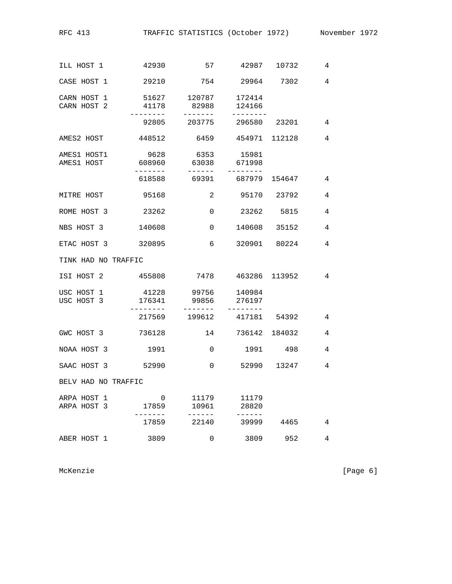RFC 413 TRAFFIC STATISTICS (October 1972) November 1972

| ILL HOST 1                 | 42930                                |                                              | 57 42987 10732            |              | 4              |
|----------------------------|--------------------------------------|----------------------------------------------|---------------------------|--------------|----------------|
| CASE HOST 1                | 29210                                |                                              | 754 29964 7302            |              | $\overline{4}$ |
| CARN HOST 1<br>CARN HOST 2 | 41178                                | 51627 120787 172414<br>82988<br>. <u>.</u> . | 124166                    |              |                |
|                            |                                      |                                              | 92805 203775 296580 23201 |              | $\overline{4}$ |
|                            | AMES2 HOST 448512 6459 454971 112128 |                                              |                           |              | $\overline{4}$ |
| AMES1 HOST1<br>AMES1 HOST  | 9628<br>608960                       | 6353<br>63038<br>$- - - - - - -$             | 15981<br>671998           |              |                |
|                            |                                      |                                              |                           |              | 4              |
|                            | MITRE HOST 95168                     |                                              | 2 95170 23792             |              | $\overline{4}$ |
| ROME HOST 3                | 23262                                | 0                                            |                           | 23262 5815   | 4              |
| NBS HOST 3                 | 140608                               | $\sim$ 0                                     | 140608 35152              |              | 4              |
|                            | ETAC HOST 3 320895                   | 6                                            |                           | 320901 80224 | 4              |
| TINK HAD NO TRAFFIC        |                                      |                                              |                           |              |                |
| ISI HOST 2                 | 455808                               |                                              | 7478 463286 113952        |              | $\overline{4}$ |
| USC HOST 1<br>USC HOST 3   | 41228<br>176341<br>.                 | 99856<br>. <u>.</u> .                        | 99756 140984<br>276197    |              |                |
|                            | 217569                               | 199612                                       | 417181 54392              |              | 4              |
|                            | GWC HOST 3 736128                    |                                              | 14 736142 184032          |              | 4              |
| NOAA HOST 3                | 1991                                 | 0                                            |                           | 1991 498     | 4              |
| SAAC HOST 3                | 52990                                | 0                                            |                           | 52990 13247  | $\overline{4}$ |
| BELV HAD NO TRAFFIC        |                                      |                                              |                           |              |                |
| ARPA HOST 1<br>ARPA HOST 3 | 0<br>17859                           | 11179<br>10961<br>$- - -$                    | 11179<br>28820            |              |                |
|                            | 17859                                | 22140                                        | 39999                     | 4465         | 4              |
| ABER HOST 1                | 3809                                 | 0                                            | 3809                      | 952          | 4              |

McKenzie [Page 6]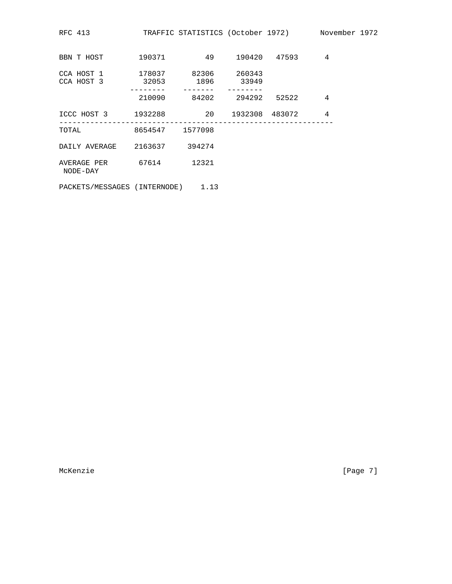| RFC 413                                                       | TRAFFIC STATISTICS (October 1972)          Novemb |                 |                |
|---------------------------------------------------------------|---------------------------------------------------|-----------------|----------------|
| BBN T HOST 190371                                             |                                                   | 49 190420 47593 | $\overline{4}$ |
| CCA HOST 1 178037 82306 260343<br>CCA HOST 3 32053 1896 33949 |                                                   |                 |                |
|                                                               | 210090 84202 294292 52522                         |                 | 4              |
| ICCC HOST 3 1932288 20 1932308 483072                         |                                                   |                 | 4              |
| TOTAL 8654547 1577098                                         |                                                   |                 |                |
| DAILY AVERAGE 2163637 394274                                  |                                                   |                 |                |
| AVERAGE PER 67614 12321<br>NODE-DAY                           |                                                   |                 |                |
| PACKETS/MESSAGES (INTERNODE) 1.13                             |                                                   |                 |                |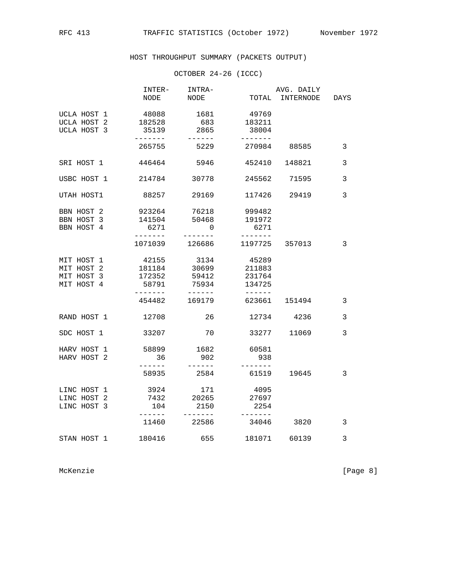# HOST THROUGHPUT SUMMARY (PACKETS OUTPUT)

## OCTOBER 24-26 (ICCC)

|                    |                  | INTER- INTRA-                    |                   | AVG. DAILY      |              |
|--------------------|------------------|----------------------------------|-------------------|-----------------|--------------|
|                    | NODE             | NODE                             |                   | TOTAL INTERNODE | DAYS         |
| UCLA HOST 1        | 48088            | 1681                             | 49769             |                 |              |
| UCLA HOST 2 182528 |                  |                                  | 683 183211        |                 |              |
| UCLA HOST 3        | 35139            | 2865                             | 38004             |                 |              |
|                    | -------          | ------                           | -------           |                 |              |
|                    | 265755 5229      |                                  | 270984 88585      |                 | 3            |
| SRI HOST 1         | 446464           | 5946                             |                   | 452410 148821   | 3            |
| USBC HOST 1 214784 |                  | 30778                            |                   | 245562 71595    | 3            |
| UTAH HOST1         | 88257            | 29169                            |                   | 117426 29419    | 3            |
| BBN HOST 2         | 923264           | 76218                            | 999482            |                 |              |
| BBN HOST 3         | 141504           | 50468                            | 191972            |                 |              |
| BBN HOST 4         | 6271             | $\overline{0}$                   | 6271              |                 |              |
|                    | $- - - - - - -$  |                                  | $- - - - - - - -$ |                 |              |
|                    | 1071039 126686   |                                  |                   | 1197725 357013  | 3            |
| MIT HOST 1         | 42155 3134       |                                  | 45289             |                 |              |
| MIT HOST 2         | 181184           | 30699                            | 211883            |                 |              |
| MIT HOST 3         | 172352           | 59412                            | 231764            |                 |              |
| MIT HOST 4         |                  | 58791 75934                      | 134725            |                 |              |
|                    | --------         | 454482 169179                    | $- - - - - - -$   | 623661 151494   | $\mathbf{3}$ |
| RAND HOST 1 12708  |                  | 26                               |                   | 12734 4236      | 3            |
| SDC HOST 1         | 33207            | 70                               |                   | 33277 11069     | 3            |
| HARV HOST 1        | 58899            | 1682                             | 60581             |                 |              |
| HARV HOST 2        | 36               | 902                              | 938               |                 |              |
|                    | -------<br>58935 | 2584                             | -------           | 61519 19645     | 3            |
| LINC HOST 1        | 3924             | 171                              | 4095              |                 |              |
| LINC HOST 2        | 7432             | 20265                            | 27697             |                 |              |
| LINC HOST 3        | 104              | 2150                             | 2254              |                 |              |
|                    | -------          | $- - - - - - - -$<br>11460 22586 | -------<br>34046  | 3820            | 3            |
|                    |                  |                                  |                   |                 |              |
| STAN HOST 1 180416 |                  | 655 181071 60139                 |                   |                 | 3            |

McKenzie [Page 8]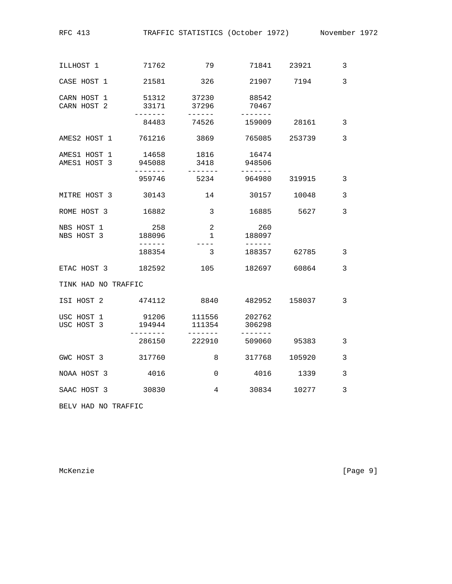| 71762               | 79                                    | 71841                                   | 23921                       | 3                                         |
|---------------------|---------------------------------------|-----------------------------------------|-----------------------------|-------------------------------------------|
| 21581               | 326                                   |                                         | 7194                        | $\overline{3}$                            |
| 51312<br>33171      | 37230<br>37296                        | 88542<br>70467                          |                             |                                           |
| 84483               | 74526                                 | 159009                                  | 28161                       | $\mathbf{3}$                              |
| 761216              | 3869                                  |                                         | 253739                      | 3                                         |
| 14658<br>945088     | 1816<br>3418                          | 16474<br>948506                         |                             |                                           |
| 959746              | 5234                                  | 964980                                  | 319915                      | 3                                         |
| 30143               | 14                                    | 30157                                   | 10048                       | 3                                         |
| 16882               | 3                                     | 16885                                   | 5627                        | 3                                         |
| 258<br>188096       | $\overline{2}$<br>$\mathbf{1}$        | 260<br>188097                           |                             |                                           |
| 188354              | 3                                     | 188357                                  | 62785                       | 3                                         |
| 182592              | 105                                   |                                         |                             | 3                                         |
| TINK HAD NO TRAFFIC |                                       |                                         |                             |                                           |
| 474112              | 8840                                  |                                         | 158037                      | 3                                         |
| 91206<br>194944     | 111556<br>111354                      | 202762<br>306298                        |                             |                                           |
| 286150              | 222910                                | 509060                                  | 95383                       | 3                                         |
| 317760              | 8                                     | 317768                                  | 105920                      | 3                                         |
| 4016                | $\Omega$                              | 4016                                    | 1339                        | 3                                         |
| 30830               | 4                                     | 30834                                   | 10277                       | 3                                         |
|                     | . <u>.</u><br>------<br>$- - - - - -$ | ------<br>$- - - - -$<br>----<br>------ | -------<br>------<br>------ | 21907<br>765085<br>182697 60864<br>482952 |

BELV HAD NO TRAFFIC

McKenzie [Page 9]